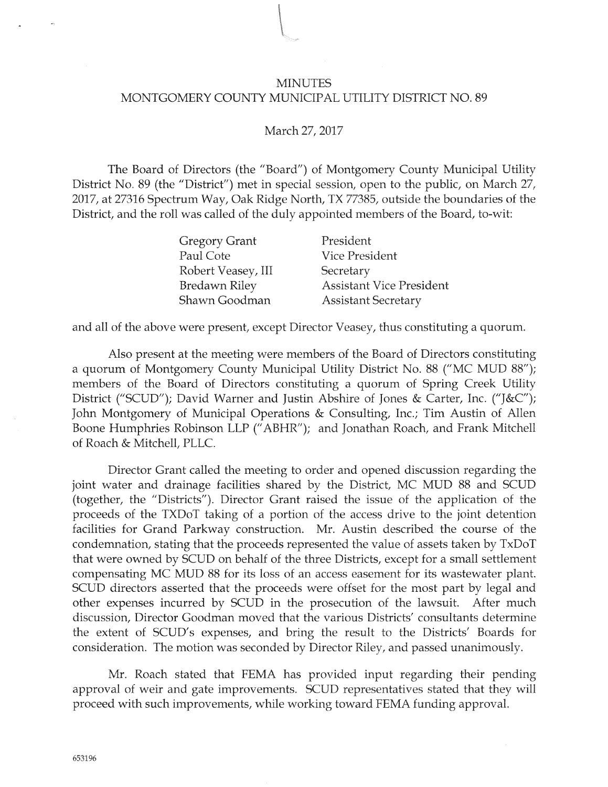## MINUTES MONTGOMERY COUNTY MUNICIPAL UTILITY DISTRICT NO. 89

## March 27, 2017

The Board of Directors (the "Board") of Montgomery County Municipal Utility District No. 89 (the "District") met in special session, open to the public, on March 27, 2017, at 27316 Spectrum Way, Oak Ridge North, TX 77385, outside the boundaries of the District, and the roll was called of the duly appointed members of the Board, to-wit:

| <b>Gregory Grant</b> | President                       |
|----------------------|---------------------------------|
| Paul Cote            | <b>Vice President</b>           |
| Robert Veasey, III   | Secretary                       |
| <b>Bredawn Riley</b> | <b>Assistant Vice President</b> |
| Shawn Goodman        | <b>Assistant Secretary</b>      |

and all of the above were present, except Director Veasey, thus constituting a quorum.

Also present at the meeting were members of the Board of Directors constituting a quorum of Montgomery County Municipal Utility District No. 88 ("MC MUD 88"); members of the Board of Directors constituting a quorum of Spring Creek Utility District ("SCUD"); David Warner and Justin Abshire of Jones & Carter, Inc. ("]&C"); John Montgomery of Municipal Operations & Consulting, Inc.; Tim Austin of Allen Boone Humphries Robinson LLP ("ABHR"); and Jonathan Roach, and Frank Mitchell o{ Roach & Mitchell, PLLC.

Director Grant called the meeting to order and opened discussion regarding the joint water and drainage facilities shared by the District, MC MUD 88 and SCUD (together, the "Districts"). Director Grant raised the issue of the application of the proceeds of the TXDoT taking of a portion o{ the access drive to the joint detention facilities for Grand Parkway construction. Mr. Austin described the course of the condemnation, stating that the proceeds represented the value of assets taken by TxDoT that were owned by SCUD on behal{ of the three Districts, except for a small settlement compensating MC MUD 88 for its loss of an access easement for its wastewater plant. SCUD directors asserted that the proceeds were offset for the most part by legal and other expenses incurred by SCUD in the prosecution of the lawsuit. After much discussion, Director Goodman moved that the various Districts' consultants determine the extent of SCUD's expenses, and bring the result to the Districts' Boards for consideration. The motion was seconded by Director Riley, and passed unanimously.

Mr. Roach stated that FEMA has provided input regarding their pending approval cf weir and gate improvements. SCUD representatives stated that they will proceed with such improvements, while working toward FEMA funding approval.